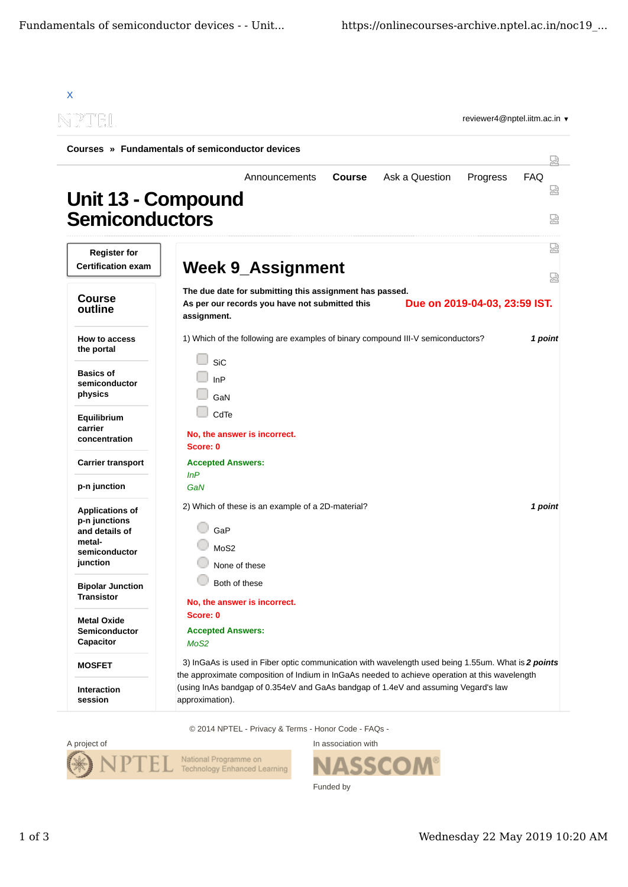| N PTEL                                                                                           | reviewer4@nptel.iitm.ac.in ▼                                                                                                                                                                            |                      |
|--------------------------------------------------------------------------------------------------|---------------------------------------------------------------------------------------------------------------------------------------------------------------------------------------------------------|----------------------|
|                                                                                                  | Courses » Fundamentals of semiconductor devices                                                                                                                                                         | W                    |
| Unit 13 - Compound<br><b>Semiconductors</b>                                                      | <b>Course</b><br>Ask a Question<br>Progress<br>Announcements                                                                                                                                            | <b>FAQ</b><br>썮<br>눲 |
| <b>Register for</b><br><b>Certification exam</b>                                                 | <b>Week 9_Assignment</b>                                                                                                                                                                                | 썼<br>떥               |
| <b>Course</b><br>outline                                                                         | The due date for submitting this assignment has passed.<br>Due on 2019-04-03, 23:59 IST.<br>As per our records you have not submitted this<br>assignment.                                               |                      |
| How to access<br>the portal                                                                      | 1) Which of the following are examples of binary compound III-V semiconductors?                                                                                                                         | 1 point              |
| <b>Basics of</b><br>semiconductor<br>physics                                                     | <b>SiC</b><br>InP<br>GaN                                                                                                                                                                                |                      |
| Equilibrium<br>carrier<br>concentration                                                          | CdTe<br>No, the answer is incorrect.<br>Score: 0                                                                                                                                                        |                      |
| <b>Carrier transport</b>                                                                         | <b>Accepted Answers:</b>                                                                                                                                                                                |                      |
| p-n junction                                                                                     | InP<br>GaN                                                                                                                                                                                              |                      |
| <b>Applications of</b><br>p-n junctions<br>and details of<br>metal-<br>semiconductor<br>junction | 2) Which of these is an example of a 2D-material?<br>GaP<br>M <sub>0</sub> S <sub>2</sub><br>None of these                                                                                              | 1 point              |
| <b>Bipolar Junction</b><br><b>Transistor</b>                                                     | Both of these<br>No, the answer is incorrect.                                                                                                                                                           |                      |
| <b>Metal Oxide</b><br>Semiconductor<br>Capacitor                                                 | Score: 0<br><b>Accepted Answers:</b><br>MoS <sub>2</sub>                                                                                                                                                |                      |
| <b>MOSFET</b>                                                                                    | 3) InGaAs is used in Fiber optic communication with wavelength used being 1.55um. What is 2 points                                                                                                      |                      |
| <b>Interaction</b><br>session                                                                    | the approximate composition of Indium in InGaAs needed to achieve operation at this wavelength<br>(using InAs bandgap of 0.354eV and GaAs bandgap of 1.4eV and assuming Vegard's law<br>approximation). |                      |

© 2014 NPTEL - Privacy & Terms - Honor Code - FAQs -



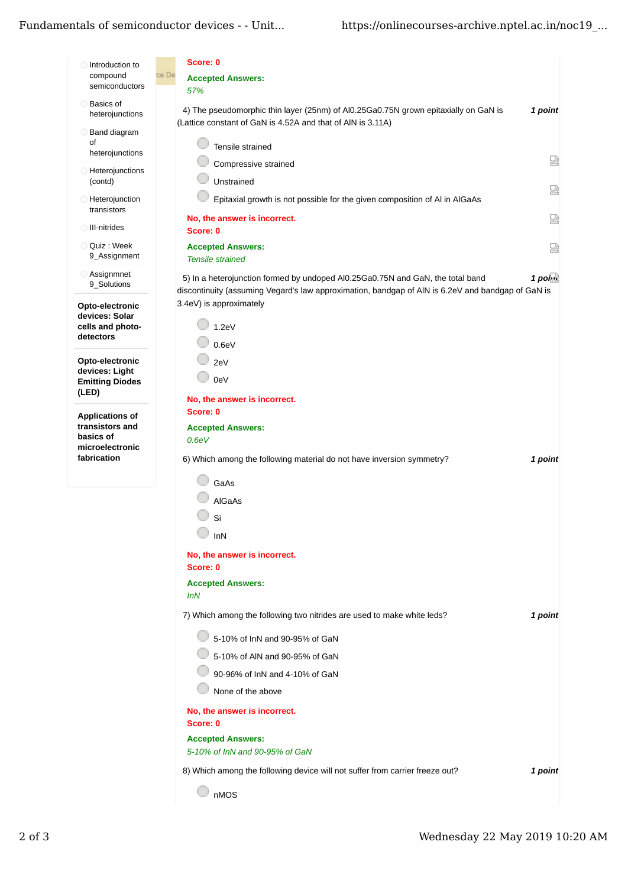## Fundamentals of semiconductor devices - - Unit...

| Introduction to<br>compound                       | Score: 0<br>ce De                                                                                                                                                                                       |  |
|---------------------------------------------------|---------------------------------------------------------------------------------------------------------------------------------------------------------------------------------------------------------|--|
| semiconductors                                    | <b>Accepted Answers:</b><br>57%                                                                                                                                                                         |  |
| <b>Basics of</b><br>heterojunctions               | 4) The pseudomorphic thin layer (25nm) of Al0.25Ga0.75N grown epitaxially on GaN is<br>1 point                                                                                                          |  |
| Band diagram                                      | (Lattice constant of GaN is 4.52A and that of AIN is 3.11A)                                                                                                                                             |  |
| οf<br>heterojunctions                             | Tensile strained                                                                                                                                                                                        |  |
| Heterojunctions                                   | 요<br>Compressive strained                                                                                                                                                                               |  |
| (contd)                                           | Unstrained<br>덣                                                                                                                                                                                         |  |
| Heterojunction<br>transistors                     | Epitaxial growth is not possible for the given composition of AI in AIGaAs                                                                                                                              |  |
| III-nitrides                                      | No, the answer is incorrect.<br>品<br>Score: 0                                                                                                                                                           |  |
| Quiz : Week                                       | <b>Accepted Answers:</b><br>쩒                                                                                                                                                                           |  |
| 9_Assignment                                      | <b>Tensile strained</b>                                                                                                                                                                                 |  |
| Assignmnet<br>9_Solutions                         | $1$ poi $\alpha$<br>5) In a heterojunction formed by undoped AI0.25Ga0.75N and GaN, the total band<br>discontinuity (assuming Vegard's law approximation, bandgap of AlN is 6.2eV and bandgap of GaN is |  |
| Opto-electronic                                   | 3.4eV) is approximately                                                                                                                                                                                 |  |
| devices: Solar<br>cells and photo-                | 1.2eV                                                                                                                                                                                                   |  |
| detectors                                         | 0.6eV                                                                                                                                                                                                   |  |
| Opto-electronic                                   | 2eV                                                                                                                                                                                                     |  |
| devices: Light<br><b>Emitting Diodes</b><br>(LED) | 0eV                                                                                                                                                                                                     |  |
|                                                   | No, the answer is incorrect.                                                                                                                                                                            |  |
| <b>Applications of</b><br>transistors and         | Score: 0<br><b>Accepted Answers:</b>                                                                                                                                                                    |  |
| basics of                                         | 0.6eV                                                                                                                                                                                                   |  |
| microelectronic<br>fabrication                    | 6) Which among the following material do not have inversion symmetry?<br>1 point                                                                                                                        |  |
|                                                   |                                                                                                                                                                                                         |  |
|                                                   | GaAs                                                                                                                                                                                                    |  |
|                                                   | <b>AIGaAs</b>                                                                                                                                                                                           |  |
|                                                   | Si                                                                                                                                                                                                      |  |
|                                                   | InN                                                                                                                                                                                                     |  |
|                                                   | No, the answer is incorrect.                                                                                                                                                                            |  |
|                                                   | Score: 0                                                                                                                                                                                                |  |
|                                                   | <b>Accepted Answers:</b><br>InN                                                                                                                                                                         |  |
|                                                   | 7) Which among the following two nitrides are used to make white leds?<br>1 point                                                                                                                       |  |
|                                                   | 5-10% of InN and 90-95% of GaN                                                                                                                                                                          |  |
|                                                   | 5-10% of AIN and 90-95% of GaN                                                                                                                                                                          |  |
|                                                   | 90-96% of InN and 4-10% of GaN                                                                                                                                                                          |  |
|                                                   | None of the above                                                                                                                                                                                       |  |
|                                                   |                                                                                                                                                                                                         |  |
|                                                   | No, the answer is incorrect.<br>Score: 0                                                                                                                                                                |  |
|                                                   | <b>Accepted Answers:</b>                                                                                                                                                                                |  |
|                                                   | 5-10% of InN and 90-95% of GaN                                                                                                                                                                          |  |
|                                                   | 8) Which among the following device will not suffer from carrier freeze out?<br>1 point                                                                                                                 |  |
|                                                   | nMOS                                                                                                                                                                                                    |  |